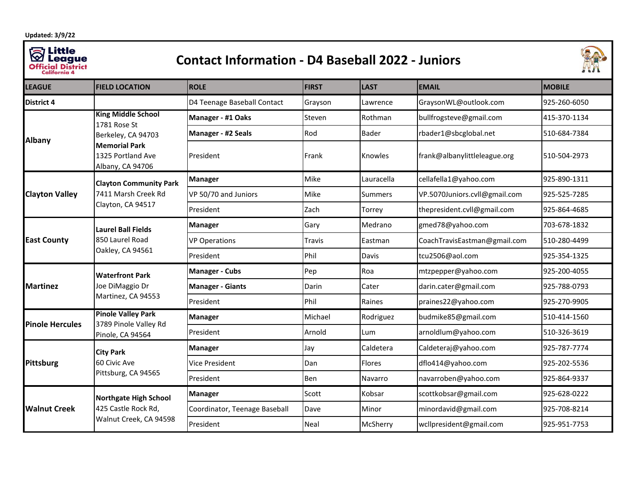**Updated: 3/9/22**

## **Sanctive League**<br> **Official District**<br> **California 4**

## **Contact Information - D4 Baseball 2022 - Juniors**



| <b>LEAGUE</b>          | <b>FIELD LOCATION</b>                                                                                                            | <b>ROLE</b>                   | <b>FIRST</b> | <b>LAST</b>    | <b>EMAIL</b>                  | <b>MOBILE</b> |
|------------------------|----------------------------------------------------------------------------------------------------------------------------------|-------------------------------|--------------|----------------|-------------------------------|---------------|
| <b>District 4</b>      |                                                                                                                                  | D4 Teenage Baseball Contact   | Grayson      | Lawrence       | GraysonWL@outlook.com         | 925-260-6050  |
| <b>Albany</b>          | <b>King Middle School</b><br>1781 Rose St<br>Berkeley, CA 94703<br><b>Memorial Park</b><br>1325 Portland Ave<br>Albany, CA 94706 | Manager - #1 Oaks             | Steven       | Rothman        | bullfrogsteve@gmail.com       | 415-370-1134  |
|                        |                                                                                                                                  | Manager - #2 Seals            | Rod          | <b>Bader</b>   | rbader1@sbcglobal.net         | 510-684-7384  |
|                        |                                                                                                                                  | President                     | Frank        | Knowles        | frank@albanylittleleague.org  | 510-504-2973  |
| <b>Clayton Valley</b>  | <b>Clayton Community Park</b><br>7411 Marsh Creek Rd<br>Clayton, CA 94517                                                        | <b>Manager</b>                | Mike         | Lauracella     | cellafella1@yahoo.com         | 925-890-1311  |
|                        |                                                                                                                                  | VP 50/70 and Juniors          | Mike         | <b>Summers</b> | VP.5070Juniors.cvll@gmail.com | 925-525-7285  |
|                        |                                                                                                                                  | President                     | Zach         | Torrey         | thepresident.cvll@gmail.com   | 925-864-4685  |
| <b>East County</b>     | <b>Laurel Ball Fields</b><br>850 Laurel Road<br>Oakley, CA 94561                                                                 | <b>Manager</b>                | Gary         | Medrano        | gmed78@yahoo.com              | 703-678-1832  |
|                        |                                                                                                                                  | <b>VP Operations</b>          | Travis       | Eastman        | CoachTravisEastman@gmail.com  | 510-280-4499  |
|                        |                                                                                                                                  | President                     | Phil         | Davis          | tcu2506@aol.com               | 925-354-1325  |
| <b>Martinez</b>        | <b>Waterfront Park</b><br>Joe DiMaggio Dr<br>Martinez, CA 94553                                                                  | <b>Manager - Cubs</b>         | Pep          | Roa            | mtzpepper@yahoo.com           | 925-200-4055  |
|                        |                                                                                                                                  | <b>Manager - Giants</b>       | Darin        | Cater          | darin.cater@gmail.com         | 925-788-0793  |
|                        |                                                                                                                                  | President                     | Phil         | Raines         | praines22@yahoo.com           | 925-270-9905  |
| <b>Pinole Hercules</b> | <b>Pinole Valley Park</b><br>3789 Pinole Valley Rd<br>Pinole, CA 94564                                                           | <b>Manager</b>                | Michael      | Rodriguez      | budmike85@gmail.com           | 510-414-1560  |
|                        |                                                                                                                                  | President                     | Arnold       | Lum            | arnoldlum@yahoo.com           | 510-326-3619  |
| <b>Pittsburg</b>       | <b>City Park</b><br>60 Civic Ave<br>Pittsburg, CA 94565                                                                          | <b>Manager</b>                | Jay          | Caldetera      | Caldeteraj@yahoo.com          | 925-787-7774  |
|                        |                                                                                                                                  | <b>Vice President</b>         | Dan          | Flores         | dflo414@yahoo.com             | 925-202-5536  |
|                        |                                                                                                                                  | President                     | <b>Ben</b>   | Navarro        | navarroben@yahoo.com          | 925-864-9337  |
| <b>Walnut Creek</b>    | Northgate High School<br>425 Castle Rock Rd,<br>Walnut Creek, CA 94598                                                           | <b>Manager</b>                | Scott        | Kobsar         | scottkobsar@gmail.com         | 925-628-0222  |
|                        |                                                                                                                                  | Coordinator, Teenage Baseball | Dave         | Minor          | minordavid@gmail.com          | 925-708-8214  |
|                        |                                                                                                                                  | President                     | Neal         | McSherry       | wcllpresident@gmail.com       | 925-951-7753  |